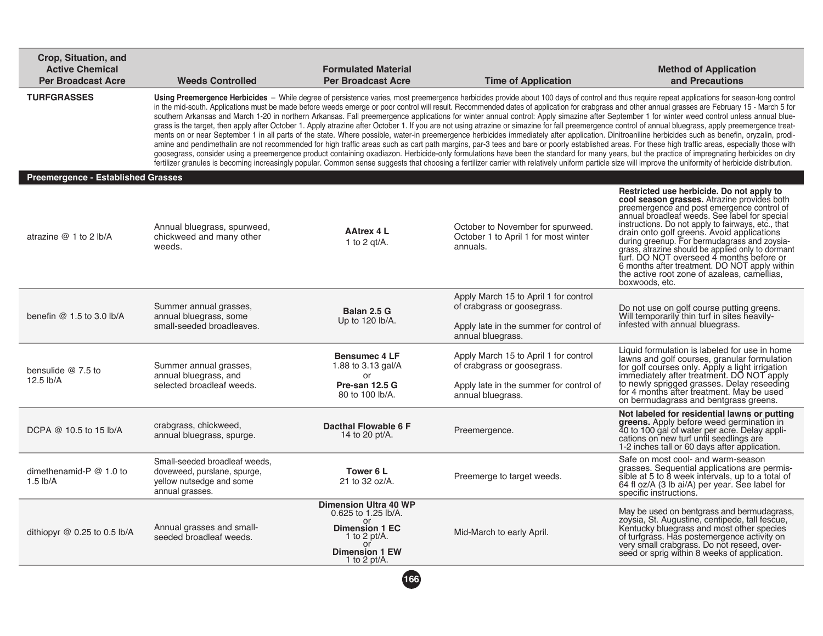| Crop, Situation, and<br><b>Active Chemical</b><br><b>Per Broadcast Acre</b> | <b>Weeds Controlled</b>                                                                                     | <b>Formulated Material</b><br><b>Per Broadcast Acre</b>                                                                                           | <b>Time of Application</b>                                                                                                           | <b>Method of Application</b><br>and Precautions                                                                                                                                                                                                                                                                                                                                                                                                                                                                                                                                                                                                                                                                                                                                                                                                                                                                                                                                                                                                                                                                                                                                                                                                                                                                                                                                                                                                                                                                                                                                                                                                |
|-----------------------------------------------------------------------------|-------------------------------------------------------------------------------------------------------------|---------------------------------------------------------------------------------------------------------------------------------------------------|--------------------------------------------------------------------------------------------------------------------------------------|------------------------------------------------------------------------------------------------------------------------------------------------------------------------------------------------------------------------------------------------------------------------------------------------------------------------------------------------------------------------------------------------------------------------------------------------------------------------------------------------------------------------------------------------------------------------------------------------------------------------------------------------------------------------------------------------------------------------------------------------------------------------------------------------------------------------------------------------------------------------------------------------------------------------------------------------------------------------------------------------------------------------------------------------------------------------------------------------------------------------------------------------------------------------------------------------------------------------------------------------------------------------------------------------------------------------------------------------------------------------------------------------------------------------------------------------------------------------------------------------------------------------------------------------------------------------------------------------------------------------------------------------|
| <b>TURFGRASSES</b>                                                          |                                                                                                             |                                                                                                                                                   |                                                                                                                                      | Using Preemergence Herbicides - While degree of persistence varies, most preemergence herbicides provide about 100 days of control and thus require repeat applications for season-long control<br>in the mid-south. Applications must be made before weeds emerge or poor control will result. Recommended dates of application for crabgrass and other annual grasses are February 15 - March 5 for<br>southern Arkansas and March 1-20 in northern Arkansas. Fall preemergence applications for winter annual control: Apply simazine after September 1 for winter weed control unless annual blue-<br>grass is the target, then apply after October 1. Apply atrazine after October 1. If you are not using atrazine or simazine for fall preemergence control of annual bluegrass, apply preemergence treat-<br>ments on or near September 1 in all parts of the state. Where possible, water-in preemergence herbicides immediately after application. Dinitroaniline herbicides such as benefin, oryzalin, prodi-<br>amine and pendimethalin are not recommended for high traffic areas such as cart path margins, par-3 tees and bare or poorly established areas. For these high traffic areas, especially those with<br>goosegrass, consider using a preemergence product containing oxadiazon. Herbicide-only formulations have been the standard for many years, but the practice of impregnating herbicides on dry<br>fertilizer granules is becoming increasingly popular. Common sense suggests that choosing a fertilizer carrier with relatively uniform particle size will improve the uniformity of herbicide distribution. |
| <b>Preemergence - Established Grasses</b>                                   |                                                                                                             |                                                                                                                                                   |                                                                                                                                      |                                                                                                                                                                                                                                                                                                                                                                                                                                                                                                                                                                                                                                                                                                                                                                                                                                                                                                                                                                                                                                                                                                                                                                                                                                                                                                                                                                                                                                                                                                                                                                                                                                                |
| atrazine $@1$ to 2 lb/A                                                     | Annual bluegrass, spurweed,<br>chickweed and many other<br>weeds.                                           | <b>AAtrex 4 L</b><br>1 to 2 $gt/A$ .                                                                                                              | October to November for spurweed.<br>October 1 to April 1 for most winter<br>annuals.                                                | Restricted use herbicide. Do not apply to<br>cool season grasses. Atrazine provides both<br>preemergence and post emergence control of<br>annual broadleaf weeds. See label for special<br>instructions. Do not apply to fairways, etc., that<br>drain onto golf greens. Avoid applications<br>during greenup. For bermudagrass and zoysia-<br>grass, atrazine should be applied only to dormant<br>turf. DO NOT overseed 4 months before or<br>6 months after treatment. DO NOT apply within<br>the active root zone of azaleas, camellias,<br>boxwoods, etc.                                                                                                                                                                                                                                                                                                                                                                                                                                                                                                                                                                                                                                                                                                                                                                                                                                                                                                                                                                                                                                                                                 |
| benefin $@1.5$ to 3.0 lb/A                                                  | Summer annual grasses,<br>annual bluegrass, some<br>small-seeded broadleaves.                               | Balan 2.5 G<br>Up to 120 lb/A.                                                                                                                    | Apply March 15 to April 1 for control<br>of crabgrass or goosegrass.<br>Apply late in the summer for control of<br>annual bluegrass. | Do not use on golf course putting greens.<br>Will temporarily thin turf in sites heavily-<br>infested with annual bluegrass.                                                                                                                                                                                                                                                                                                                                                                                                                                                                                                                                                                                                                                                                                                                                                                                                                                                                                                                                                                                                                                                                                                                                                                                                                                                                                                                                                                                                                                                                                                                   |
| bensulide $@7.5$ to<br>12.5 lb/A                                            | Summer annual grasses,<br>annual bluegrass, and<br>selected broadleaf weeds.                                | <b>Bensumec 4 LF</b><br>1.88 to 3.13 gal/A<br>or<br>Pre-san 12.5 G<br>80 to 100 lb/A.                                                             | Apply March 15 to April 1 for control<br>of crabgrass or goosegrass.<br>Apply late in the summer for control of<br>annual bluegrass. | Liquid formulation is labeled for use in home<br>lawns and golf courses, granular formulation<br>for golf courses only. Apply a light irrigation<br>immediately after treatment. DO NOT apply<br>to newly sprigged grasses. Delay reseeding<br>for 4 months after treatment. May be used<br>on bermudagrass and bentgrass greens.                                                                                                                                                                                                                                                                                                                                                                                                                                                                                                                                                                                                                                                                                                                                                                                                                                                                                                                                                                                                                                                                                                                                                                                                                                                                                                              |
| DCPA @ 10.5 to 15 lb/A                                                      | crabgrass, chickweed,<br>annual bluegrass, spurge.                                                          | Dacthal Flowable 6 F<br>14 to 20 pt/A.                                                                                                            | Preemergence.                                                                                                                        | Not labeled for residential lawns or putting<br>greens. Apply before weed germination in<br>40 to 100 gal of water per acre. Delay appli-<br>cations on new turf until seedlings are<br>1-2 inches tall or 60 days after application.                                                                                                                                                                                                                                                                                                                                                                                                                                                                                                                                                                                                                                                                                                                                                                                                                                                                                                                                                                                                                                                                                                                                                                                                                                                                                                                                                                                                          |
| dimethenamid- $P @ 1.0 to$<br>$1.5$ lb/A                                    | Small-seeded broadleaf weeds.<br>doveweed, purslane, spurge,<br>vellow nutsedge and some<br>annual grasses. | Tower 6 L<br>21 to 32 oz/A.                                                                                                                       | Preemerge to target weeds.                                                                                                           | Safe on most cool- and warm-season<br>grasses. Sequential applications are permis-<br>sible at 5 to 8 week intervals, up to a total of<br>64 fl oz/A (3 lb ai/A) per year. See label for<br>specific instructions.                                                                                                                                                                                                                                                                                                                                                                                                                                                                                                                                                                                                                                                                                                                                                                                                                                                                                                                                                                                                                                                                                                                                                                                                                                                                                                                                                                                                                             |
| dithiopyr $@$ 0.25 to 0.5 lb/A                                              | Annual grasses and small-<br>seeded broadleaf weeds.                                                        | <b>Dimension Ultra 40 WP</b><br>0.625 to 1.25 lb/A.<br>or<br><b>Dimension 1 EC</b><br>1 to 2 pt/A.<br>or<br><b>Dimension 1 EW</b><br>1 to 2 pt/A. | Mid-March to early April.                                                                                                            | May be used on bentgrass and bermudagrass,<br>zoysia, St. Augustine, centipede, tall fescue,<br>Kentucky bluegrass and most other species<br>of turfgrass. Has postemergence activity on<br>very small crabgrass. Do not reseed, over-<br>seed or sprig within 8 weeks of application.                                                                                                                                                                                                                                                                                                                                                                                                                                                                                                                                                                                                                                                                                                                                                                                                                                                                                                                                                                                                                                                                                                                                                                                                                                                                                                                                                         |
|                                                                             |                                                                                                             | 166                                                                                                                                               |                                                                                                                                      |                                                                                                                                                                                                                                                                                                                                                                                                                                                                                                                                                                                                                                                                                                                                                                                                                                                                                                                                                                                                                                                                                                                                                                                                                                                                                                                                                                                                                                                                                                                                                                                                                                                |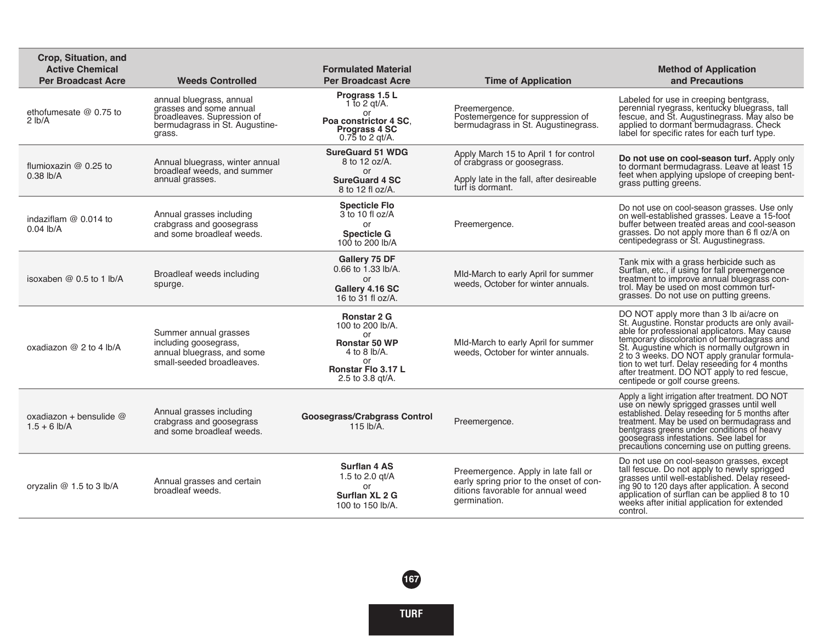| Crop, Situation, and<br><b>Active Chemical</b><br><b>Per Broadcast Acre</b> | <b>Weeds Controlled</b>                                                                                                       | <b>Formulated Material</b><br><b>Per Broadcast Acre</b>                                                                              | <b>Time of Application</b>                                                                                                           | <b>Method of Application</b><br>and Precautions                                                                                                                                                                                                                                                                                                                                                                               |
|-----------------------------------------------------------------------------|-------------------------------------------------------------------------------------------------------------------------------|--------------------------------------------------------------------------------------------------------------------------------------|--------------------------------------------------------------------------------------------------------------------------------------|-------------------------------------------------------------------------------------------------------------------------------------------------------------------------------------------------------------------------------------------------------------------------------------------------------------------------------------------------------------------------------------------------------------------------------|
| ethofumesate $@$ 0.75 to<br>$2 \,$ lb/A                                     | annual bluegrass, annual<br>grasses and some annual<br>broadleaves. Supression of<br>bermudagrass in St. Augustine-<br>grass. | Prograss 1.5 L<br>1 to 2 gt/A.<br>or<br>Poa constrictor 4 SC.<br><b>Prograss 4 SC</b><br>$0.75$ to 2 gt/A.                           | Preemergence.<br>Postemergence for suppression of<br>bermudagrass in St. Augustinegrass.                                             | Labeled for use in creeping bentgrass.<br>perennial ryegrass, kentucky bluegrass, tall<br>fescue, and St. Augustinegrass. May also be applied to dormant bermudagrass. Check<br>label for specific rates for each turf type.                                                                                                                                                                                                  |
| flumioxazin $@$ 0.25 to<br>$0.38$ lb/A                                      | Annual bluegrass, winter annual<br>broadleaf weeds, and summer<br>annual grasses.                                             | <b>SureGuard 51 WDG</b><br>8 to 12 oz/A.<br>or<br><b>SureGuard 4 SC</b><br>8 to 12 fl oz/A.                                          | Apply March 15 to April 1 for control<br>of crabgrass or goosegrass.<br>Apply late in the fall, after desireable<br>turf is dormant. | Do not use on cool-season turf. Apply only<br>to dormant bermudagrass. Leave at least 15<br>feet when applying upslope of creeping bent-<br>grass putting greens.                                                                                                                                                                                                                                                             |
| indaziflam $@$ 0.014 to<br>$0.04$ lb/A                                      | Annual grasses including<br>crabgrass and goosegrass<br>and some broadleaf weeds.                                             | <b>Specticle Flo</b><br>3 to 10 fl $oz/A$<br>or<br><b>Specticle G</b><br>100 to 200 lb/A                                             | Preemergence.                                                                                                                        | Do not use on cool-season grasses. Use only<br>on well-established grasses. Leave a 15-foot<br>buffer between treated areas and cool-season<br>grasses. Do not apply more than 6 fl oz/A on<br>centipedegrass or St. Augustinegrass.                                                                                                                                                                                          |
| isoxaben $@0.5$ to 1 lb/A                                                   | Broadleaf weeds including<br>spurge.                                                                                          | Gallery 75 DF<br>0.66 to 1.33 lb/A.<br>or<br>Gallery 4.16 SC<br>16 to 31 fl oz/A.                                                    | MId-March to early April for summer<br>weeds. October for winter annuals.                                                            | Tank mix with a grass herbicide such as<br>Surflan, etc., if using for fall preemergence<br>treatment to improve annual bluegrass con-<br>trol. May be used on most common turf-<br>grasses. Do not use on putting greens.                                                                                                                                                                                                    |
| oxadiazon $@$ 2 to 4 lb/A                                                   | Summer annual grasses<br>including goosegrass,<br>annual bluegrass, and some<br>small-seeded broadleaves.                     | <b>Ronstar 2 G</b><br>100 to 200 lb/A.<br>or<br><b>Ronstar 50 WP</b><br>4 to 8 lb/A.<br>or<br>Ronstar Flo 3.17 L<br>2.5 to 3.8 gt/A. | MId-March to early April for summer<br>weeds, October for winter annuals.                                                            | DO NOT apply more than 3 lb ai/acre on<br>St. Augustine. Ronstar products are only avail-<br>able for professional applicators. May cause<br>temporary discoloration of bermudagrass and<br>St. Augustine which is normally outgrown in<br>2 to 3 weeks. DO NOT apply granular formula-<br>tion to wet turf. Delay reseeding for 4 months<br>after treatment. DO NOT apply to red fescue,<br>centipede or golf course greens. |
| oxadiazon + bensulide $@$<br>$1.5 + 6$ lb/A                                 | Annual grasses including<br>crabgrass and goosegrass<br>and some broadleaf weeds.                                             | <b>Goosegrass/Crabgrass Control</b><br>115 lb/A.                                                                                     | Preemergence.                                                                                                                        | Apply a light irrigation after treatment. DO NOT<br>use on newly sprigged grasses until well<br>established. Delay reseeding for 5 months after<br>treatment. May be used on bermudagrass and<br>bentgrass greens under conditions of heavy<br>goosegrass infestations. See label for<br>precautions concerning use on putting greens.                                                                                        |
| oryzalin $@$ 1.5 to 3 lb/A                                                  | Annual grasses and certain<br>broadleaf weeds.                                                                                | <b>Surflan 4 AS</b><br>1.5 to 2.0 gt/A<br>or<br>Surflan XL 2 G<br>100 to 150 lb/A.                                                   | Preemergence. Apply in late fall or<br>early spring prior to the onset of con-<br>ditions favorable for annual weed<br>germination.  | Do not use on cool-season grasses, except<br>tall fescue. Do not apply to newly sprigged<br>grasses until well-established. Delay reseed-<br>ing 90 to 120 days after application. A second<br>application of surflan can be applied 8 to 10<br>weeks after initial application for extended<br>control.                                                                                                                      |

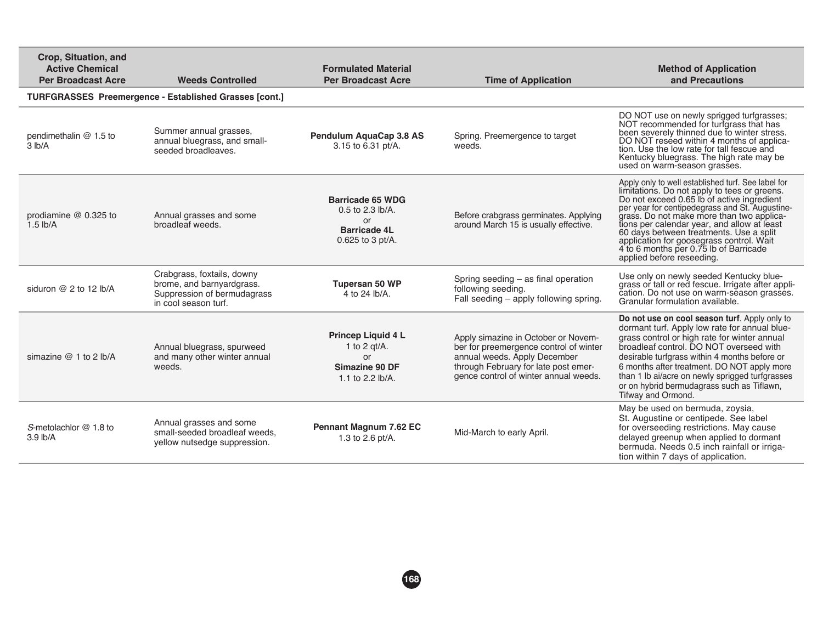| Crop. Situation, and<br><b>Active Chemical</b><br><b>Per Broadcast Acre</b> | <b>Weeds Controlled</b>                                                                                        | <b>Formulated Material</b><br><b>Per Broadcast Acre</b>                                               | <b>Time of Application</b>                                                                                                                                                                     | <b>Method of Application</b><br>and Precautions                                                                                                                                                                                                                                                                                                                                                                                                              |
|-----------------------------------------------------------------------------|----------------------------------------------------------------------------------------------------------------|-------------------------------------------------------------------------------------------------------|------------------------------------------------------------------------------------------------------------------------------------------------------------------------------------------------|--------------------------------------------------------------------------------------------------------------------------------------------------------------------------------------------------------------------------------------------------------------------------------------------------------------------------------------------------------------------------------------------------------------------------------------------------------------|
|                                                                             | TURFGRASSES Preemergence - Established Grasses [cont.]                                                         |                                                                                                       |                                                                                                                                                                                                |                                                                                                                                                                                                                                                                                                                                                                                                                                                              |
| pendimethalin @ 1.5 to<br>3 lb/A                                            | Summer annual grasses,<br>annual bluegrass, and small-<br>seeded broadleaves.                                  | Pendulum AquaCap 3.8 AS<br>3.15 to 6.31 pt/A.                                                         | Spring. Preemergence to target<br>weeds.                                                                                                                                                       | DO NOT use on newly sprigged turfgrasses;<br>NOT recommended for turfgrass that has<br>been severely thinned due to winter stress.<br>DO NOT reseed within 4 months of applica-<br>tion. Use the low rate for tall fescue and<br>Kentucky bluegrass. The high rate may be<br>used on warm-season grasses.                                                                                                                                                    |
| prodiamine @ 0.325 to<br>$1.5$ lb/A                                         | Annual grasses and some<br>broadleaf weeds.                                                                    | <b>Barricade 65 WDG</b><br>0.5 to 2.3 lb/A.<br><b>or</b><br><b>Barricade 4L</b><br>$0.625$ to 3 pt/A. | Before crabgrass germinates. Applying<br>around March 15 is usually effective.                                                                                                                 | Apply only to well established turf. See label for<br>limitations. Do not apply to tees or greens.<br>Do not exceed 0.65 lb of active ingredient<br>per year for centipedegrass and St. Augustine-<br>grass. Do not make more than two applica-<br>tions per calendar year, and allow at least<br>60 days between treatments. Use a split<br>application for goosegrass control. Wait<br>4 to 6 months per 0.75 lb of Barricade<br>applied before reseeding. |
| siduron $@$ 2 to 12 lb/A                                                    | Crabgrass, foxtails, downy<br>brome, and barnyardgrass.<br>Suppression of bermudagrass<br>in cool season turf. | Tupersan 50 WP<br>4 to 24 lb/A.                                                                       | Spring seeding - as final operation<br>following seeding.<br>Fall seeding - apply following spring.                                                                                            | Use only on newly seeded Kentucky blue-<br>grass or tall or red fescue. Irrigate after appli-<br>cation. Do not use on warm-season grasses.<br>Granular formulation available.                                                                                                                                                                                                                                                                               |
| simazine $@1$ to 2 lb/A                                                     | Annual bluegrass, spurweed<br>and many other winter annual<br>weeds.                                           | Princep Liquid 4 L<br>1 to 2 $qt/A$ .<br>or<br>Simazine 90 DF<br>1.1 to 2.2 lb/A.                     | Apply simazine in October or Novem-<br>ber for preemergence control of winter<br>annual weeds. Apply December<br>through February for late post emer-<br>gence control of winter annual weeds. | Do not use on cool season turf. Apply only to<br>dormant turf. Apply low rate for annual blue-<br>grass control or high rate for winter annual<br>broadleaf control. DO NOT overseed with<br>desirable turfgrass within 4 months before or<br>6 months after treatment. DO NOT apply more<br>than 1 lb ai/acre on newly sprigged turfgrasses<br>or on hybrid bermudagrass such as Tiflawn,<br>Tifway and Ormond.                                             |
| S-metolachlor @ 1.8 to<br>3.9 lb/A                                          | Annual grasses and some<br>small-seeded broadleaf weeds.<br>vellow nutsedge suppression.                       | Pennant Magnum 7.62 EC<br>1.3 to 2.6 pt/A.                                                            | Mid-March to early April.                                                                                                                                                                      | May be used on bermuda, zoysia,<br>St. Augustine or centipede. See label<br>for overseeding restrictions. May cause<br>delayed greenup when applied to dormant<br>bermuda. Needs 0.5 inch rainfall or irriga-<br>tion within 7 days of application.                                                                                                                                                                                                          |

**168**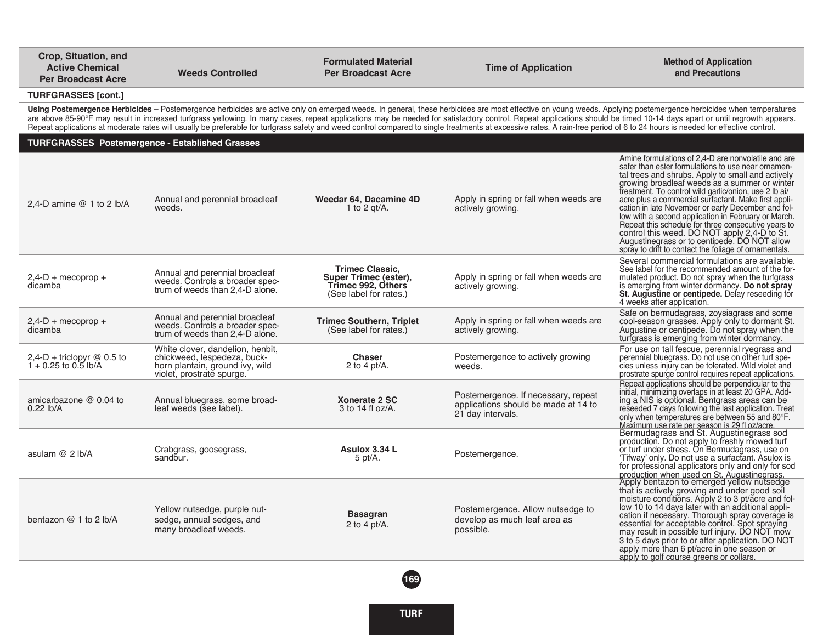| Crop, Situation, and<br><b>Active Chemical</b><br><b>Per Broadcast Acre</b> | <b>Weeds Controlled</b>                                                                                                         | <b>Formulated Material</b><br><b>Per Broadcast Acre</b>                                         | <b>Time of Application</b>                                                                                                                                                                                                    | <b>Method of Application</b><br>and Precautions                                                                                                                                                                                                                                                                                                                                                                                                                                                                                                                                                                                                               |
|-----------------------------------------------------------------------------|---------------------------------------------------------------------------------------------------------------------------------|-------------------------------------------------------------------------------------------------|-------------------------------------------------------------------------------------------------------------------------------------------------------------------------------------------------------------------------------|---------------------------------------------------------------------------------------------------------------------------------------------------------------------------------------------------------------------------------------------------------------------------------------------------------------------------------------------------------------------------------------------------------------------------------------------------------------------------------------------------------------------------------------------------------------------------------------------------------------------------------------------------------------|
| <b>TURFGRASSES [cont.]</b>                                                  |                                                                                                                                 |                                                                                                 |                                                                                                                                                                                                                               |                                                                                                                                                                                                                                                                                                                                                                                                                                                                                                                                                                                                                                                               |
|                                                                             |                                                                                                                                 |                                                                                                 | Repeat applications at moderate rates will usually be preferable for turfgrass safety and weed control compared to single treatments at excessive rates. A rain-free period of 6 to 24 hours is needed for effective control. | Using Postemergence Herbicides – Postemergence herbicides are active only on emerged weeds. In general, these herbicides are most effective on young weeds. Applying postemergence herbicides when temperatures<br>are above 85-90°F may result in increased turfgrass yellowing. In many cases, repeat applications may be needed for satisfactory control. Repeat applications should be timed 10-14 days apart or until regrowth appears.                                                                                                                                                                                                                  |
| <b>TURFGRASSES Postemergence - Established Grasses</b>                      |                                                                                                                                 |                                                                                                 |                                                                                                                                                                                                                               |                                                                                                                                                                                                                                                                                                                                                                                                                                                                                                                                                                                                                                                               |
| 2,4-D amine $@$ 1 to 2 lb/A                                                 | Annual and perennial broadleaf<br>weeds.                                                                                        | Weedar 64, Dacamine 4D<br>1 to 2 gt/A.                                                          | Apply in spring or fall when weeds are<br>actively growing.                                                                                                                                                                   | Amine formulations of 2.4-D are nonvolatile and are<br>safer than ester formulations to use near ornamen-<br>tal trees and shrubs. Apply to small and actively<br>growing broadleaf weeds as a summer or winter<br>treatment. To control wild garlic/onion, use 2 lb ai/<br>acre plus a commercial surfactant. Make first appli-<br>cation in late November or early December and fol-<br>low with a second application in February or March.<br>Repeat this schedule for three consecutive years to<br>control this weed. DO NOT apply 2,4-D to St.<br>Augustinegrass or to centipede. DO NOT allow<br>spray to drift to contact the foliage of ornamentals. |
| $2,4-D +$ mecoprop +<br>dicamba                                             | Annual and perennial broadleaf<br>weeds. Controls a broader spec-<br>trum of weeds than 2.4-D alone.                            | <b>Trimec Classic,</b><br>Super Trimec (ester),<br>Trimec 992, Others<br>(See label for rates.) | Apply in spring or fall when weeds are<br>actively growing.                                                                                                                                                                   | Several commercial formulations are available.<br>See label for the recommended amount of the for-<br>mulated product. Do not spray when the turfgrass<br>is emerging from winter dormancy. Do not spray<br>St. Augustine or centipede. Delay reseeding for<br>4 weeks after application.                                                                                                                                                                                                                                                                                                                                                                     |
| $2,4-D +$ mecoprop +<br>dicamba                                             | Annual and perennial broadleaf<br>weeds. Controls a broader spec-<br>trum of weeds than 2,4-D alone.                            | <b>Trimec Southern, Triplet</b><br>(See label for rates.)                                       | Apply in spring or fall when weeds are<br>actively growing.                                                                                                                                                                   | Safe on bermudagrass, zoysiagrass and some<br>cool-season grasses. Apply only to dormant St.<br>Augustine or centipede. Do not spray when the<br>turigrass is emerging from winter dormancy.                                                                                                                                                                                                                                                                                                                                                                                                                                                                  |
| $2,4$ -D + triclopyr @ 0.5 to<br>$1 + 0.25$ to 0.5 lb/A                     | White clover, dandelion, henbit,<br>chickweed, lespedeza, buck-<br>horn plantain, ground ivy, wild<br>violet, prostrate spurge. | <b>Chaser</b><br>2 to 4 pt/A.                                                                   | Postemergence to actively growing<br>weeds.                                                                                                                                                                                   | For use on tall fescue, perennial ryegrass and<br>perennial bluegrass. Do not use on other turf spe-<br>cies unless injury can be tolerated. Wild violet and<br>prostrate spurge control requires repeat applications.                                                                                                                                                                                                                                                                                                                                                                                                                                        |
| amicarbazone @ 0.04 to<br>$0.22$ lb/A                                       | Annual bluegrass, some broad-<br>leaf weeds (see label).                                                                        | Xonerate 2 SC<br>3 to 14 fl $oz/A$ .                                                            | Postemergence. If necessary, repeat<br>applications should be made at 14 to<br>21 day intervals.                                                                                                                              | Repeat applications should be perpendicular to the<br>initial, minimizing overlaps in at least 20 GPA. Adding a NIS is optional. Bentgrass areas can be<br>reseeded 7 days following the last application. Treat<br>only when temperatures are between 55 and 80°F.<br>Maximum use rate per season is 29 fl oz/acre.                                                                                                                                                                                                                                                                                                                                          |
| asulam $@$ 2 lb/A                                                           | Crabgrass, goosegrass,<br>sandbur.                                                                                              | Asulox 3.34 L<br>5 pt/A.                                                                        | Postemergence.                                                                                                                                                                                                                | Nermudagrass and St. Augustinegrass sod<br>production. Do not apply to freshly mowed turf<br>or turf under stress. On Bermudagrass, use on<br>'Tifway' only. Do not use a surfactant. Asulox is<br>for professional applicators only and only for sod                                                                                                                                                                                                                                                                                                                                                                                                         |
| bentazon @ 1 to 2 lb/A                                                      | Yellow nutsedge, purple nut-<br>sedge, annual sedges, and<br>many broadleaf weeds.                                              | <b>Basagran</b><br>2 to 4 pt/A.                                                                 | Postemergence. Allow nutsedge to<br>develop as much leaf area as<br>possible.                                                                                                                                                 | production when used on St. Augustinegrass.<br>Apply bentazon to emerged yellow nutsedge<br>that is actively growing and under good soil.<br>moisture conditions. Apply 2 to 3 pt/acre and follow 10 to 14 days later with an additional appli-<br>cation if necessary. Thorough spray coverage is<br>essential for acceptable control. Spot spraying<br>may result in possible turf injury. DO NOT mow<br>3 to 5 days prior to or after application. DO NOT<br>apply more than 6 pt/acre in one season or<br>apply to golf course greens or collars.                                                                                                         |



**TURF**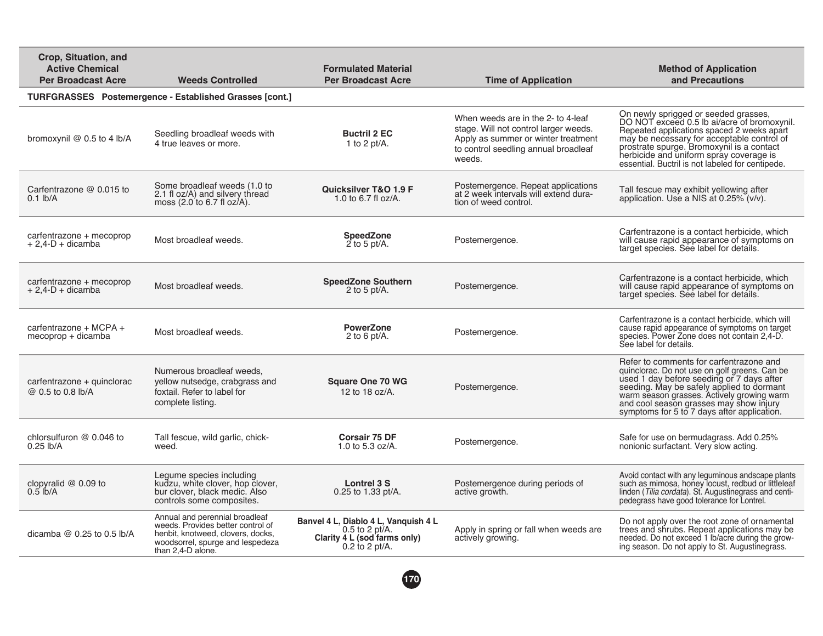| Crop, Situation, and<br><b>Active Chemical</b><br><b>Per Broadcast Acre</b> | <b>Weeds Controlled</b>                                                                                                                                           | <b>Formulated Material</b><br><b>Per Broadcast Acre</b>                                                      | <b>Time of Application</b>                                                                                                                                           | <b>Method of Application</b><br>and Precautions                                                                                                                                                                                                                                                                             |
|-----------------------------------------------------------------------------|-------------------------------------------------------------------------------------------------------------------------------------------------------------------|--------------------------------------------------------------------------------------------------------------|----------------------------------------------------------------------------------------------------------------------------------------------------------------------|-----------------------------------------------------------------------------------------------------------------------------------------------------------------------------------------------------------------------------------------------------------------------------------------------------------------------------|
|                                                                             | <b>TURFGRASSES</b> Postemergence - Established Grasses [cont.]                                                                                                    |                                                                                                              |                                                                                                                                                                      |                                                                                                                                                                                                                                                                                                                             |
| bromoxynil $@$ 0.5 to 4 lb/A                                                | Seedling broadleaf weeds with<br>4 true leaves or more.                                                                                                           | <b>Buctril 2 EC</b><br>1 to 2 pt/A.                                                                          | When weeds are in the 2- to 4-leaf<br>stage. Will not control larger weeds.<br>Apply as summer or winter treatment<br>to control seedling annual broadleaf<br>weeds. | On newly sprigged or seeded grasses,<br>DO NOT exceed 0.5 lb ai/acre of bromoxynil.<br>Repeated applications spaced 2 weeks apart<br>may be necessary for acceptable control of<br>prostrate spurge. Bromoxynil is a contact<br>herbicide and uniform spray coverage is<br>essential. Buctril is not labeled for centipede. |
| Carfentrazone @ 0.015 to<br>$0.1$ lb/A                                      | Some broadleaf weeds (1.0 to<br>2.1 fl oz/A) and silvery thread<br>moss $(2.0 \text{ to } 6.7 \text{ fl oz/A}).$                                                  | Quicksilver T&O 1.9 F<br>1.0 to 6.7 fl $oz/A$ .                                                              | Postemergence. Repeat applications<br>at 2 week intervals will extend dura-<br>tion of weed control.                                                                 | Tall fescue may exhibit yellowing after<br>application. Use a NIS at 0.25% (v/v).                                                                                                                                                                                                                                           |
| carfentrazone + mecoprop<br>$+ 2.4 - D + dicamba$                           | Most broadleaf weeds.                                                                                                                                             | <b>SpeedZone</b><br>$2$ to 5 pt/A.                                                                           | Postemergence.                                                                                                                                                       | Carfentrazone is a contact herbicide, which<br>will cause rapid appearance of symptoms on<br>target species. See label for details.                                                                                                                                                                                         |
| carfentrazone + mecoprop<br>$+ 2.4 - D + dicamba$                           | Most broadleaf weeds.                                                                                                                                             | <b>SpeedZone Southern</b><br>2 to 5 pt/A.                                                                    | Postemergence.                                                                                                                                                       | Carfentrazone is a contact herbicide, which<br>will cause rapid appearance of symptoms on<br>target species. See label for details.                                                                                                                                                                                         |
| carfentrazone + MCPA +<br>mecoprop + dicamba                                | Most broadleaf weeds.                                                                                                                                             | <b>PowerZone</b><br>2 to 6 pt/A.                                                                             | Postemergence.                                                                                                                                                       | Carfentrazone is a contact herbicide, which will<br>cause rapid appearance of symptoms on target<br>species. Power Zone does not contain 2,4-D.<br>See label for details.                                                                                                                                                   |
| carfentrazone + quinclorac<br>@ 0.5 to 0.8 lb/A                             | Numerous broadleaf weeds.<br>yellow nutsedge, crabgrass and<br>foxtail. Refer to label for<br>complete listing.                                                   | <b>Square One 70 WG</b><br>12 to 18 oz/A.                                                                    | Postemergence.                                                                                                                                                       | Refer to comments for carfentrazone and<br>quinclorac. Do not use on golf greens. Can be<br>used 1 day before seeding or 7 days after<br>seeding. May be safely applied to dormant<br>warm season grasses. Actively growing warm<br>and cool season grasses may show injury<br>symptoms for 5 to 7 days after application.  |
| chlorsulfuron @ 0.046 to<br>$0.25$ lb/A                                     | Tall fescue, wild garlic, chick-<br>weed.                                                                                                                         | <b>Corsair 75 DF</b><br>1.0 to 5.3 oz/A.                                                                     | Postemergence.                                                                                                                                                       | Safe for use on bermudagrass. Add 0.25%<br>nonionic surfactant. Very slow acting.                                                                                                                                                                                                                                           |
| clopyralid $@$ 0.09 to<br>$0.5$ lb/A                                        | Legume species including<br>kudzu, white clover, hop clover,<br>bur clover, black medic. Also<br>controls some composites.                                        | Lontrel 3 S<br>0.25 to 1.33 pt/A.                                                                            | Postemergence during periods of<br>active growth.                                                                                                                    | Avoid contact with any leguminous and scape plants<br>such as mimosa, honey locust, redbud or littleleaf<br>linden (Tilia cordata). St. Augustinegrass and centi-<br>pedegrass have good tolerance for Lontrel.                                                                                                             |
| dicamba $@$ 0.25 to 0.5 lb/A                                                | Annual and perennial broadleaf<br>weeds. Provides better control of<br>henbit, knotweed, clovers, docks,<br>woodsorrel, spurge and lespedeza<br>than 2,4-D alone. | Banvel 4 L, Diablo 4 L, Vanquish 4 L<br>$0.5$ to 2 pt/A.<br>Clarity 4 L (sod farms only)<br>$0.2$ to 2 pt/A. | Apply in spring or fall when weeds are<br>actively growing.                                                                                                          | Do not apply over the root zone of ornamental<br>trees and shrubs. Repeat applications may be<br>needed. Do not exceed 1 lb/acre during the grow-<br>ing season. Do not apply to St. Augustinegrass.                                                                                                                        |
|                                                                             |                                                                                                                                                                   |                                                                                                              |                                                                                                                                                                      |                                                                                                                                                                                                                                                                                                                             |

**170**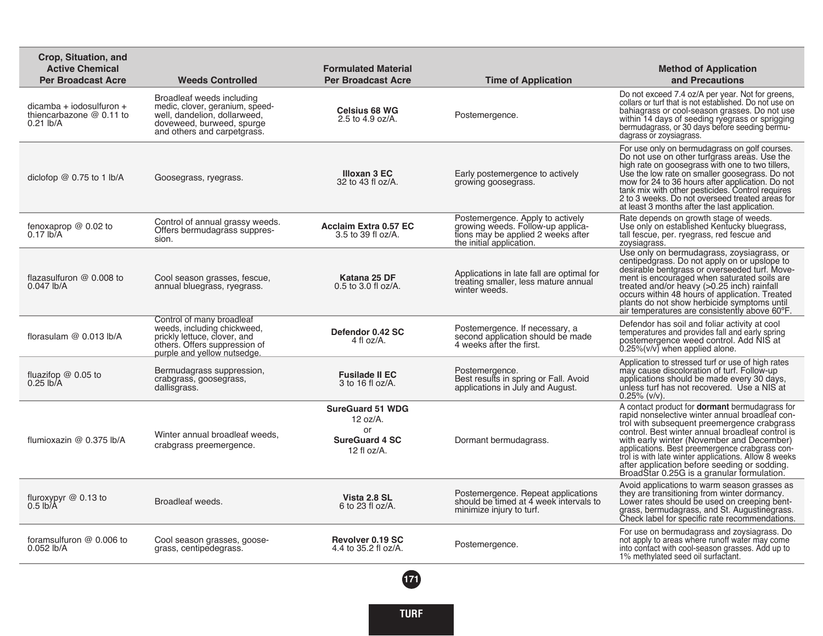| Crop, Situation, and<br><b>Active Chemical</b><br><b>Per Broadcast Acre</b> | <b>Weeds Controlled</b>                                                                                                                                  | <b>Formulated Material</b><br><b>Per Broadcast Acre</b>                              | <b>Time of Application</b>                                                                                                              | <b>Method of Application</b><br>and Precautions                                                                                                                                                                                                                                                                                                                                                                                                                  |
|-----------------------------------------------------------------------------|----------------------------------------------------------------------------------------------------------------------------------------------------------|--------------------------------------------------------------------------------------|-----------------------------------------------------------------------------------------------------------------------------------------|------------------------------------------------------------------------------------------------------------------------------------------------------------------------------------------------------------------------------------------------------------------------------------------------------------------------------------------------------------------------------------------------------------------------------------------------------------------|
| $dicamba + iodosulfuron +$<br>thiencarbazone @ 0.11 to<br>$0.21$ lb/A       | Broadleaf weeds including<br>medic, clover, geranium, speed-<br>well, dandelion, dollarweed,<br>doveweed, burweed, spurge<br>and others and carpetgrass. | <b>Celsius 68 WG</b><br>2.5 to 4.9 oz/A.                                             | Postemergence.                                                                                                                          | Do not exceed 7.4 oz/A per year. Not for greens,<br>collars or turf that is not established. Do not use on<br>bahiagrass or cool-season grasses. Do not use<br>within 14 days of seeding ryegrass or sprigging<br>bermudagrass, or 30 days before seeding bermu-<br>dagrass or zoysiagrass.                                                                                                                                                                      |
| diclofop $@$ 0.75 to 1 lb/A                                                 | Goosegrass, ryegrass.                                                                                                                                    | Illoxan 3 EC<br>32 to 43 fl oz/A.                                                    | Early postemergence to actively<br>growing goosegrass.                                                                                  | For use only on bermudagrass on golf courses.<br>Do not use on other turfgrass areas. Use the<br>high rate on goosegrass with one to two tillers,<br>Use the low rate on smaller goosegrass. Do not<br>mow for 24 to 36 hours after application. Do not<br>tank mix with other pesticides. Control requires<br>2 to 3 weeks. Do not overseed treated areas for<br>at least 3 months after the last application.                                                  |
| fenoxaprop $@$ 0.02 to<br>$0.17$ lb/A                                       | Control of annual grassy weeds.<br>Offers bermudagrass suppres-<br>sion.                                                                                 | <b>Acclaim Extra 0.57 EC</b><br>3.5 to 39 fl oz/A.                                   | Postemergence. Apply to actively<br>growing weeds. Follow-up applica-<br>tions may be applied 2 weeks after<br>the initial application. | Rate depends on growth stage of weeds.<br>Use only on established Kentucky bluegrass,<br>tall fescue, per. ryegrass, red fescue and<br>zoysiagrass.                                                                                                                                                                                                                                                                                                              |
| flazasulfuron $@$ 0.008 to<br>$0.047$ lb/A                                  | Cool season grasses, fescue,<br>annual bluegrass, ryegrass.                                                                                              | Katana 25 DF<br>0.5 to 3.0 fl oz/A.                                                  | Applications in late fall are optimal for<br>treating smaller, less mature annual<br>winter weeds.                                      | Use only on bermudagrass, zoysiagrass, or<br>centipedgrass. Do not apply on or upslope to<br>desirable bentgrass or overseeded turf. Move-<br>ment is encouraged when saturated soils are<br>treated and/or heavy (>0.25 inch) rainfall<br>occurs within 48 hours of application. Treated<br>plants do not show herbicide symptoms until<br>air temperatures are consistently above 60°F.                                                                        |
| florasulam $@$ 0.013 lb/A                                                   | Control of many broadleaf<br>weeds, including chickweed,<br>prickly lettuce, clover, and<br>others. Offers suppression of<br>purple and yellow nutsedge. | Defendor 0.42 SC<br>4 fl oz/A.                                                       | Postemergence. If necessary, a<br>second application should be made<br>4 weeks after the first.                                         | Defendor has soil and foliar activity at cool<br>temperatures and provides fall and early spring<br>postemergence weed control. Add NIS at<br>0.25%(v/v) when applied alone.                                                                                                                                                                                                                                                                                     |
| fluazifop @ 0.05 to<br>$0.25$ lb/A                                          | Bermudagrass suppression,<br>crabgrass, goosegrass,<br>dallisgrass.                                                                                      | <b>Fusilade II EC</b><br>3 to 16 fl $oz/A$ .                                         | Postemergence.<br>Best results in spring or Fall. Avoid<br>applications in July and August.                                             | Application to stressed turf or use of high rates<br>may cause discoloration of turf. Follow-up<br>applications should be made every 30 days,<br>unless turf has not recovered. Use a NIS at<br>$0.25\%$ (v/v).                                                                                                                                                                                                                                                  |
| flumioxazin @ 0.375 lb/A                                                    | Winter annual broadleaf weeds.<br>crabgrass preemergence.                                                                                                | <b>SureGuard 51 WDG</b><br>12 oz/A.<br>or<br><b>SureGuard 4 SC</b><br>12 fl $oz/A$ . | Dormant bermudagrass.                                                                                                                   | A contact product for <b>dormant</b> bermudagrass for<br>rapid nonselective winter annual broadleaf con-<br>trol with subsequent preemergence crabgrass<br>control. Best winter annual broadleaf control is<br>with early winter (November and December)<br>applications. Best preemergence crabgrass con-<br>trol is with late winter applications. Allow 8 weeks<br>after application before seeding or sodding.<br>BroadStar 0.25G is a granular formulation. |
| fluroxypyr $@$ 0.13 to<br>$0.5$ lb/ $\overline{A}$                          | Broadleaf weeds.                                                                                                                                         | Vista 2.8 SL<br>6 to 23 fl oz/A.                                                     | Postemergence. Repeat applications<br>should be timed at 4 week intervals to<br>minimize injury to turf.                                | Avoid applications to warm season grasses as<br>they are transitioning from winter dormancy.<br>Lower rates should be used on creeping bent-<br>grass, bermudagrass, and St. Augustinegrass.<br>Check label for specific rate recommendations.                                                                                                                                                                                                                   |
| foramsulfuron @ 0.006 to<br>$0.052$ lb/A                                    | Cool season grasses, goose-<br>grass, centipedegrass.                                                                                                    | Revolver 0.19 SC<br>4.4 to 35.2 fl oz/A.                                             | Postemergence.                                                                                                                          | For use on bermudagrass and zoysiagrass. Do<br>not apply to areas where runoff water may come<br>into contact with cool-season grasses. Add up to<br>1% methylated seed oil surfactant.                                                                                                                                                                                                                                                                          |
|                                                                             |                                                                                                                                                          |                                                                                      |                                                                                                                                         |                                                                                                                                                                                                                                                                                                                                                                                                                                                                  |

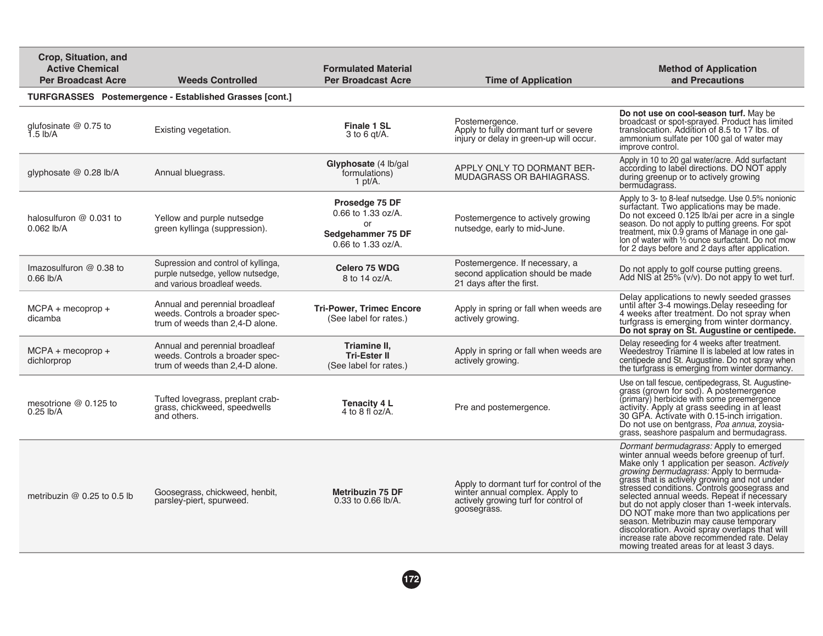| Crop, Situation, and<br><b>Active Chemical</b><br><b>Per Broadcast Acre</b> | <b>Weeds Controlled</b>                                                                                  | <b>Formulated Material</b><br><b>Per Broadcast Acre</b>                               | <b>Time of Application</b>                                                                                                         | <b>Method of Application</b><br>and Precautions                                                                                                                                                                                                                                                                                                                                                                                                                                                                                                                                                                              |
|-----------------------------------------------------------------------------|----------------------------------------------------------------------------------------------------------|---------------------------------------------------------------------------------------|------------------------------------------------------------------------------------------------------------------------------------|------------------------------------------------------------------------------------------------------------------------------------------------------------------------------------------------------------------------------------------------------------------------------------------------------------------------------------------------------------------------------------------------------------------------------------------------------------------------------------------------------------------------------------------------------------------------------------------------------------------------------|
|                                                                             | <b>TURFGRASSES</b> Postemergence - Established Grasses [cont.]                                           |                                                                                       |                                                                                                                                    |                                                                                                                                                                                                                                                                                                                                                                                                                                                                                                                                                                                                                              |
| qlufosinate $@0.75$ to<br>$1.5$ lb/A                                        | Existing vegetation.                                                                                     | <b>Finale 1 SL</b><br>$3$ to 6 gt/A.                                                  | Postemergence.<br>Apply to fully dormant turf or severe<br>injury or delay in green-up will occur.                                 | Do not use on cool-season turf. May be<br>broadcast or spot-sprayed. Product has limited<br>translocation. Addition of 8.5 to 17 lbs, of<br>ammonium sulfate per 100 gal of water may<br>improve control.                                                                                                                                                                                                                                                                                                                                                                                                                    |
| glyphosate @ 0.28 lb/A                                                      | Annual bluegrass.                                                                                        | Glyphosate (4 lb/gal<br>formulations)<br>1 $pt/A$ .                                   | APPLY ONLY TO DORMANT BER-<br><b>MUDAGRASS OR BAHIAGRASS.</b>                                                                      | Apply in 10 to 20 gal water/acre. Add surfactant<br>according to label directions. DO NOT apply<br>during greenup or to actively growing<br>bermudagrass.                                                                                                                                                                                                                                                                                                                                                                                                                                                                    |
| halosulfuron @ 0.031 to<br>0.062 lb/A                                       | Yellow and purple nutsedge<br>green kyllinga (suppression).                                              | Prosedge 75 DF<br>0.66 to 1.33 oz/A.<br>or<br>Sedgehammer 75 DF<br>0.66 to 1.33 oz/A. | Postemergence to actively growing<br>nutsedge, early to mid-June.                                                                  | Apply to 3- to 8-leaf nutsedge. Use 0.5% nonionic<br>surfactant. Two applications may be made.<br>Do not exceed 0.125 lb/ai per acre in a single<br>season. Do not apply to putting greens. For spot<br>treatment, mix 0.9 grams of Manage in one gal-<br>lon of water with 1/3 ounce surfactant. Do not mow<br>for 2 days before and 2 days after application.                                                                                                                                                                                                                                                              |
| Imazosulfuron $@$ 0.38 to<br>$0.66$ lb/A                                    | Supression and control of kyllinga.<br>purple nutsedge, yellow nutsedge,<br>and various broadleaf weeds. | <b>Celero 75 WDG</b><br>8 to 14 oz/A.                                                 | Postemergence. If necessary, a<br>second application should be made<br>21 days after the first.                                    | Do not apply to golf course putting greens.<br>Add NIS at 25% (v/v). Do not appy to wet turf.                                                                                                                                                                                                                                                                                                                                                                                                                                                                                                                                |
| $MCPA + mecoprop +$<br>dicamba                                              | Annual and perennial broadleaf<br>weeds. Controls a broader spec-<br>trum of weeds than 2.4-D alone.     | <b>Tri-Power, Trimec Encore</b><br>(See label for rates.)                             | Apply in spring or fall when weeds are<br>actively growing.                                                                        | Delay applications to newly seeded grasses<br>until after 3-4 mowings. Delay reseeding for<br>4 weeks after treatment. Do not spray when<br>turfgrass is emerging from winter dormancy.<br>Do not spray on St. Augustine or centipede.                                                                                                                                                                                                                                                                                                                                                                                       |
| $MCPA + mecoprop +$<br>dichlorprop                                          | Annual and perennial broadleaf<br>weeds. Controls a broader spec-<br>trum of weeds than 2.4-D alone.     | Triamine II.<br><b>Tri-Ester II</b><br>(See label for rates.)                         | Apply in spring or fall when weeds are<br>actively growing.                                                                        | Delay reseeding for 4 weeks after treatment.<br>Weedestroy Triamine II is labeled at low rates in<br>centipede and St. Augustine. Do not spray when<br>the turfgrass is emerging from winter dormancy.                                                                                                                                                                                                                                                                                                                                                                                                                       |
| mesotrione @ 0.125 to<br>$0.25$ lb/A                                        | Tufted lovegrass, preplant crab-<br>grass, chickweed, speedwells<br>and others.                          | <b>Tenacity 4 L</b><br>4 to 8 fl $oz/A$ .                                             | Pre and postemergence.                                                                                                             | Use on tall fescue, centipedegrass, St. Augustine-<br>grass (grown for sod). A postemergence<br>(primary) herbicide with some preemergence<br>activity. Apply at grass seeding in at least<br>30 GPA. Activate with 0.15-inch irrigation.<br>Do not use on bentgrass, Poa annua, zoysia-<br>grass, seashore paspalum and bermudagrass.                                                                                                                                                                                                                                                                                       |
| metribuzin $@$ 0.25 to 0.5 lb                                               | Goosegrass, chickweed, henbit,<br>parsley-piert, spurweed.                                               | <b>Metribuzin 75 DF</b><br>0.33 to 0.66 lb/A.                                         | Apply to dormant turf for control of the<br>winter annual complex. Apply to<br>actively growing turf for control of<br>goosegrass. | <i>Dormant bermudagrass:</i> Apply to emerged<br>winter annual weeds before greenup of turf.<br>Make only 1 application per season. Actively<br>growing bermudagrass: Apply to bermuda-<br>grass that is actively growing and not under<br>stressed conditions. Controls goosegrass and<br>selected annual weeds. Repeat if necessary<br>but do not apply closer than 1-week intervals.<br>DO NOT make more than two applications per<br>season. Metribuzin may cause temporary<br>discoloration. Avoid spray overlaps that will<br>increase rate above recommended rate. Delay<br>mowing treated areas for at least 3 days. |

**172**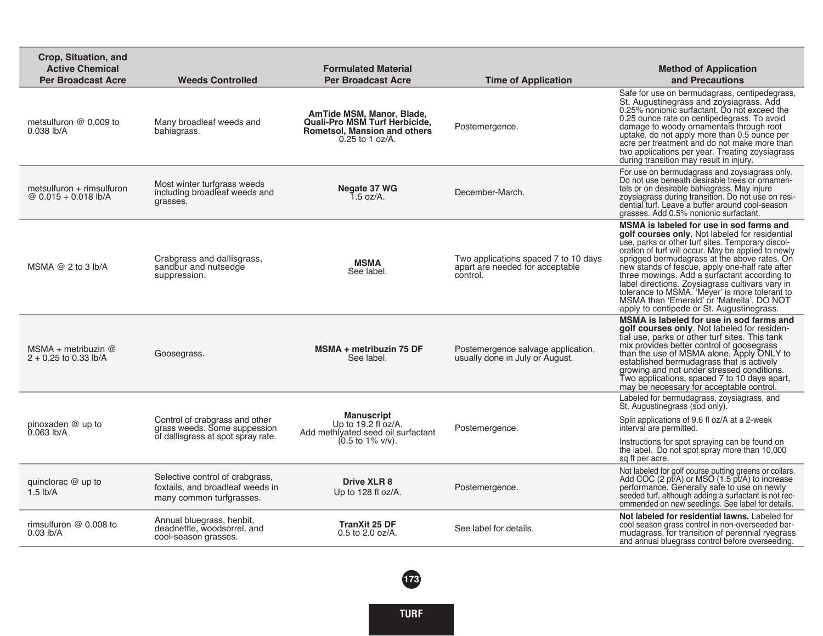| Crop, Situation, and<br><b>Active Chemical</b><br><b>Per Broadcast Acre</b> | <b>Weeds Controlled</b>                                                                              | <b>Formulated Material</b><br><b>Per Broadcast Acre</b>                                                                       | <b>Time of Application</b>                                                          | <b>Method of Application</b><br>and Precautions                                                                                                                                                                                                                                                                                                                                                                                                                                                                                                          |
|-----------------------------------------------------------------------------|------------------------------------------------------------------------------------------------------|-------------------------------------------------------------------------------------------------------------------------------|-------------------------------------------------------------------------------------|----------------------------------------------------------------------------------------------------------------------------------------------------------------------------------------------------------------------------------------------------------------------------------------------------------------------------------------------------------------------------------------------------------------------------------------------------------------------------------------------------------------------------------------------------------|
| metsulfuron @ 0.009 to<br>0.038 lb/A                                        | Many broadleaf weeds and<br>bahiagrass.                                                              | AmTide MSM, Manor, Blade,<br><b>Quali-Pro MSM Turf Herbicide.</b><br><b>Rometsol, Mansion and others</b><br>$0.25$ to 1 oz/A. | Postemergence.                                                                      | Safe for use on bermudagrass, centipedegrass,<br>St. Augustinegrass and zoysiagrass. Add<br>0.25% nonionic surfactant. Do not exceed the<br>0.25 ounce rate on centipedegrass. To avoid<br>damage to woody ornamentals through root<br>uptake, do not apply more than 0.5 ounce per<br>acre per treatment and do not make more than<br>two applications per year. Treating zoysiagrass<br>during transition may result in injury.                                                                                                                        |
| $metsulfuron + rimsulfuron$<br>@ $0.015 + 0.018$ lb/A                       | Most winter turfgrass weeds<br>including broadleaf weeds and<br>grasses.                             | Negate 37 WG<br>$1.5$ oz/A.                                                                                                   | December-March.                                                                     | For use on bermudagrass and zoysiagrass only.<br>Do not use beneath desirable trees or ornamen-<br>tals or on desirable bahiagrass. May injure<br>zoysiagrass during transition. Do not use on resi-<br>dential turf. Leave a buffer around cool-season<br>grasses. Add 0.5% nonionic surfactant.                                                                                                                                                                                                                                                        |
| MSMA $@$ 2 to 3 lb/A                                                        | Crabgrass and dallisgrass,<br>sandbur and nutsedge<br>suppression.                                   | MSMA<br>See label.                                                                                                            | Two applications spaced 7 to 10 days<br>apart are needed for acceptable<br>control. | MSMA is labeled for use in sod farms and<br>golf courses only. Not labeled for residential<br>use, parks or other turf sites. Temporary discol-<br>oration of turf will occur. May be applied to newly<br>sprigged bermudagrass at the above rates. On<br>new stands of fescue, apply one-half rate after<br>three mowings. Add a surfactant according to<br>label directions. Zoysiagrass cultivars vary in<br>tolerance to MSMA. 'Meyer' is more tolerant to<br>MSMA than 'Emerald' or 'Matrella'. DO NOT<br>apply to centipede or St. Augustinegrass. |
| MSMA + metribuzin $@$<br>$2 + 0.25$ to 0.33 lb/A                            | Goosegrass.                                                                                          | MSMA + metribuzin 75 DF<br>See label.                                                                                         | Postemergence salvage application,<br>usually done in July or August.               | MSMA is labeled for use in sod farms and<br>golf courses only. Not labeled for residen-<br>tial use, parks or other turf sites. This tank<br>mix provides better control of goosegrass<br>than the use of MSMA alone. Apply ONLY to<br>established bermudagrass that is actively<br>growing and not under stressed conditions.<br>Two applications, spaced 7 to 10 days apart,<br>may be necessary for acceptable control.                                                                                                                               |
| pinoxaden @ up to<br>0.063 lb/A                                             | Control of crabgrass and other<br>grass weeds. Some suppession<br>of dallisgrass at spot spray rate. | <b>Manuscript</b><br>Up to 19.2 fl oz/A.<br>Add methivated seed oil surfactant<br>$(0.5 \text{ to } 1\% \text{ v/v}).$        | Postemergence.                                                                      | Labeled for bermudagrass, zoysiagrass, and<br>St. Augustinegrass (sod only).<br>Split applications of 9.6 fl oz/A at a 2-week<br>interval are permitted.<br>Instructions for spot spraying can be found on<br>the label. Do not spot spray more than 10,000<br>sq ft per acre.                                                                                                                                                                                                                                                                           |
| quinclorac $@$ up to<br>$1.5$ lb/A                                          | Selective control of crabgrass,<br>foxtails, and broadleaf weeds in<br>many common turfgrasses.      | <b>Drive XLR 8</b><br>Up to 128 fl oz/A.                                                                                      | Postemergence.                                                                      | Not labeled for golf course putting greens or collars.<br>Add COC (2 pt/A) or MSO (1.5 pt/A) to increase<br>performance. Generally safe to use on newly<br>seeded turf, although adding a surfactant is not rec-<br>ommended on new seedlings. See label for details.                                                                                                                                                                                                                                                                                    |
| rimsulfuron $@$ 0.008 to<br>$0.03$ lb/A                                     | Annual bluegrass, henbit,<br>deadnettle, woodsorrel, and<br>cool-season grasses.                     | <b>TranXit 25 DF</b><br>$0.5$ to $2.0$ oz/A.                                                                                  | See label for details.                                                              | Not labeled for residential lawns. Labeled for<br>cool season grass control in non-overseeded ber-<br>mudagrass, for transition of perennial ryegrass<br>and annual bluegrass control before overseeding.                                                                                                                                                                                                                                                                                                                                                |
|                                                                             |                                                                                                      |                                                                                                                               |                                                                                     |                                                                                                                                                                                                                                                                                                                                                                                                                                                                                                                                                          |